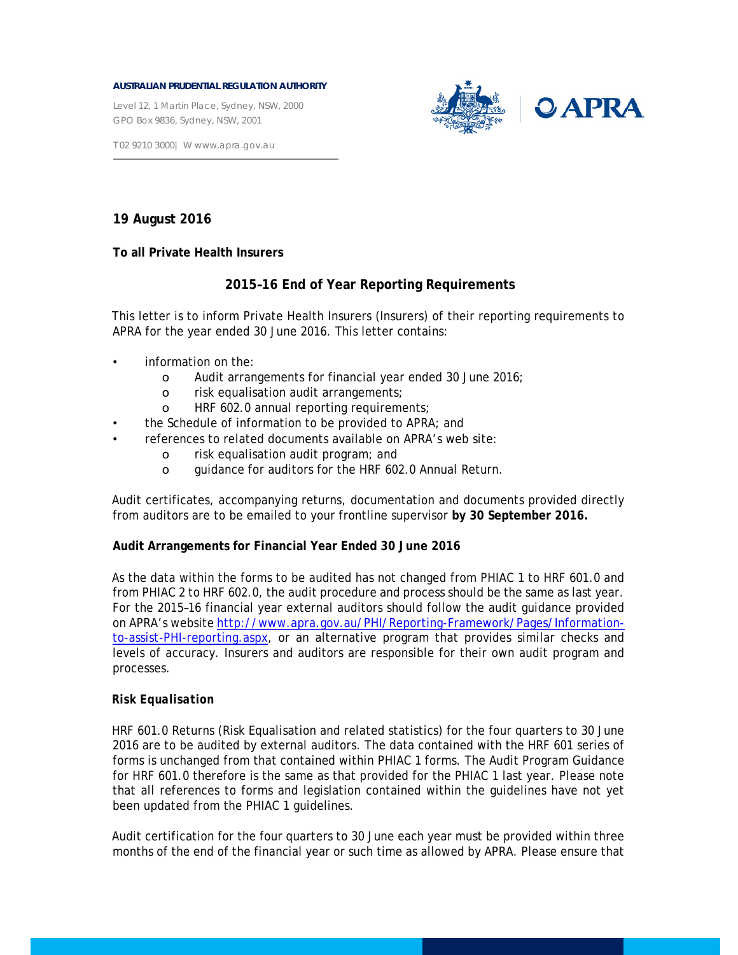#### **AUSTRALIAN PRUDENTIAL REGULATION AUTHORITY**

Level 12, 1 Martin Place, Sydney, NSW, 2000 GPO Box 9836, Sydney, NSW, 2001



T 02 9210 3000| W www.apra.gov.au

## **19 August 2016**

**To all Private Health Insurers** 

# **2015–16 End of Year Reporting Requirements**

This letter is to inform Private Health Insurers (Insurers) of their reporting requirements to APRA for the year ended 30 June 2016. This letter contains:

- information on the:
	- o Audit arrangements for financial year ended 30 June 2016;
	- o risk equalisation audit arrangements;
	- o HRF 602.0 annual reporting requirements;
- the Schedule of information to be provided to APRA; and
- references to related documents available on APRA's web site:
	- o risk equalisation audit program; and
	- o guidance for auditors for the HRF 602.0 Annual Return.

Audit certificates, accompanying returns, documentation and documents provided directly from auditors are to be emailed to your frontline supervisor **by 30 September 2016.** 

### **Audit Arrangements for Financial Year Ended 30 June 2016**

As the data within the forms to be audited has not changed from PHIAC 1 to HRF 601.0 and from PHIAC 2 to HRF 602.0, the audit procedure and process should be the same as last year. For the 2015–16 financial year external auditors should follow the audit guidance provided on APRA's website http://www.apra.gov.au/PHI/Reporting-Framework/Pages/Informationto-assist-PHI-reporting.aspx, or an alternative program that provides similar checks and levels of accuracy. Insurers and auditors are responsible for their own audit program and processes.

### *Risk Equalisation*

HRF 601.0 Returns (Risk Equalisation and related statistics) for the four quarters to 30 June 2016 are to be audited by external auditors. The data contained with the HRF 601 series of forms is unchanged from that contained within PHIAC 1 forms. The Audit Program Guidance for HRF 601.0 therefore is the same as that provided for the PHIAC 1 last year. Please note that all references to forms and legislation contained within the guidelines have not yet been updated from the PHIAC 1 guidelines.

Audit certification for the four quarters to 30 June each year must be provided within three months of the end of the financial year or such time as allowed by APRA. Please ensure that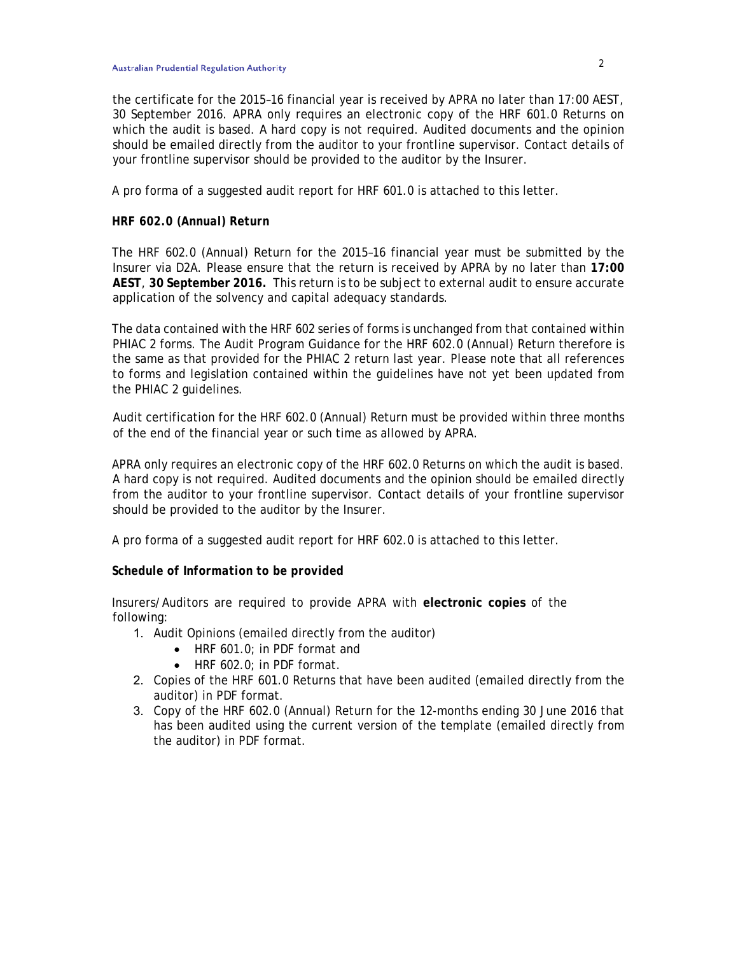the certificate for the 2015–16 financial year is received by APRA no later than 17:00 AEST, 30 September 2016. APRA only requires an electronic copy of the HRF 601.0 Returns on which the audit is based. A hard copy is not required. Audited documents and the opinion should be emailed directly from the auditor to your frontline supervisor. Contact details of your frontline supervisor should be provided to the auditor by the Insurer.

A pro forma of a suggested audit report for HRF 601.0 is attached to this letter.

### *HRF 602.0 (Annual) Return*

The HRF 602.0 (Annual) Return for the 2015–16 financial year must be submitted by the Insurer via D2A. Please ensure that the return is received by APRA by no later than **17:00 AEST**, **30 September 2016.** This return is to be subject to external audit to ensure accurate application of the solvency and capital adequacy standards.

The data contained with the HRF 602 series of forms is unchanged from that contained within PHIAC 2 forms. The Audit Program Guidance for the HRF 602.0 (Annual) Return therefore is the same as that provided for the PHIAC 2 return last year. Please note that all references to forms and legislation contained within the guidelines have not yet been updated from the PHIAC 2 guidelines.

Audit certification for the HRF 602.0 (Annual) Return must be provided within three months of the end of the financial year or such time as allowed by APRA.

APRA only requires an electronic copy of the HRF 602.0 Returns on which the audit is based. A hard copy is not required. Audited documents and the opinion should be emailed directly from the auditor to your frontline supervisor. Contact details of your frontline supervisor should be provided to the auditor by the Insurer.

A pro forma of a suggested audit report for HRF 602.0 is attached to this letter.

### *Schedule of Information to be provided*

Insurers/Auditors are required to provide APRA with **electronic copies** of the following:

- 1. Audit Opinions (emailed directly from the auditor)
	- HRF 601.0; in PDF format and
	- HRF 602.0; in PDF format.
- 2. Copies of the HRF 601.0 Returns that have been audited (emailed directly from the auditor) in PDF format.
- 3. Copy of the HRF 602.0 (Annual) Return for the 12-months ending 30 June 2016 that has been audited using the current version of the template (emailed directly from the auditor) in PDF format.